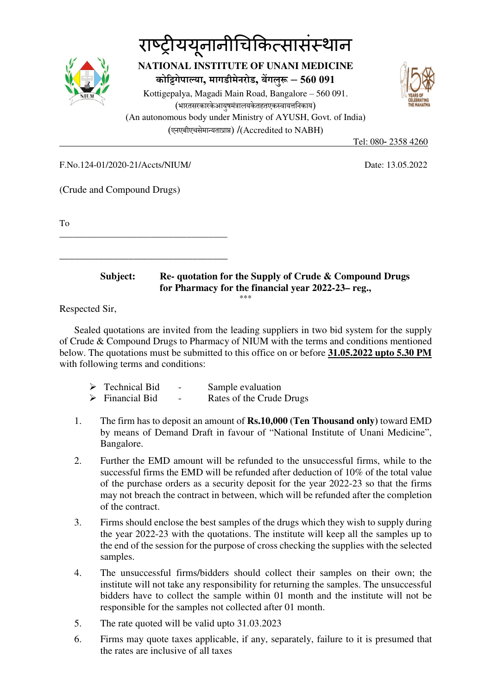

## राष्ट्रीययूनानीचिकित्सासंस्थान **NATIONAL INSTITUTE OF UNANI MEDICINE कोगेपा या, मागडीमेनरोड, बगलु – 560 091** Kottigepalya, Magadi Main Road, Bangalore – 560 091. (भारतसरकारकेआयषमंत्रालयकेतहतएकस्वायत्तनिकाय) (An autonomous body under Ministry of AYUSH, Govt. of India) (एनएबीएचसेमायताा) /(Accredited to NABH)



Tel: 080- 2358 4260

F.No.124-01/2020-21/Accts/NIUM/ Date: 13.05.2022

\_\_\_\_\_\_\_\_\_\_\_\_\_\_\_\_\_\_\_\_\_\_\_\_\_\_\_\_\_\_\_\_\_\_\_\_\_

(Crude and Compound Drugs)

To

\_\_\_\_\_\_\_\_\_\_\_\_\_\_\_\_\_\_\_\_\_\_\_\_\_\_\_\_\_\_\_\_\_\_  **Subject: Re- quotation for the Supply of Crude & Compound Drugs** 

 **for Pharmacy for the financial year 2022-23– reg.,**  \*\*\*

Respected Sir,

Sealed quotations are invited from the leading suppliers in two bid system for the supply of Crude & Compound Drugs to Pharmacy of NIUM with the terms and conditions mentioned below. The quotations must be submitted to this office on or before **31.05.2022 upto 5.30 PM** with following terms and conditions:

| $\triangleright$ Technical Bid | $\overline{\phantom{0}}$ | Sample evaluation        |
|--------------------------------|--------------------------|--------------------------|
| $\triangleright$ Financial Bid | $\overline{\phantom{0}}$ | Rates of the Crude Drugs |

- 1. The firm has to deposit an amount of **Rs.10,000 (Ten Thousand only)** toward EMD by means of Demand Draft in favour of "National Institute of Unani Medicine", Bangalore.
- 2. Further the EMD amount will be refunded to the unsuccessful firms, while to the successful firms the EMD will be refunded after deduction of 10% of the total value of the purchase orders as a security deposit for the year 2022-23 so that the firms may not breach the contract in between, which will be refunded after the completion of the contract.
- 3. Firms should enclose the best samples of the drugs which they wish to supply during the year 2022-23 with the quotations. The institute will keep all the samples up to the end of the session for the purpose of cross checking the supplies with the selected samples.
- 4. The unsuccessful firms/bidders should collect their samples on their own; the institute will not take any responsibility for returning the samples. The unsuccessful bidders have to collect the sample within 01 month and the institute will not be responsible for the samples not collected after 01 month.
- 5. The rate quoted will be valid upto 31.03.2023
- 6. Firms may quote taxes applicable, if any, separately, failure to it is presumed that the rates are inclusive of all taxes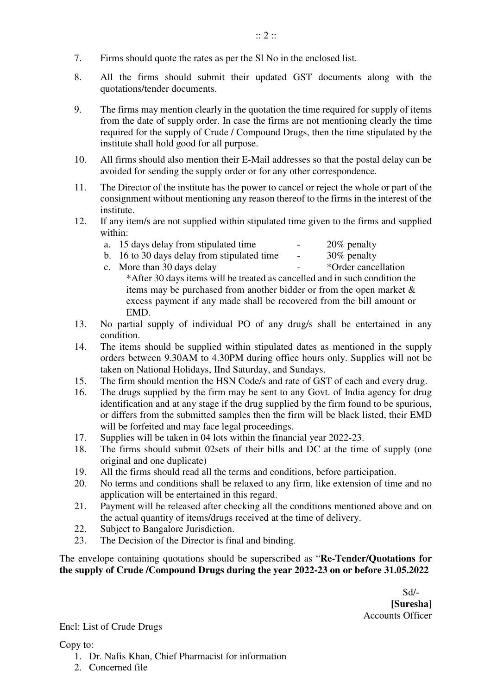- 7. Firms should quote the rates as per the Sl No in the enclosed list.
- 8. All the firms should submit their updated GST documents along with the quotations/tender documents.
- 9. The firms may mention clearly in the quotation the time required for supply of items from the date of supply order. In case the firms are not mentioning clearly the time required for the supply of Crude / Compound Drugs, then the time stipulated by the institute shall hold good for all purpose.
- 10. All firms should also mention their E-Mail addresses so that the postal delay can be avoided for sending the supply order or for any other correspondence.
- 11. The Director of the institute has the power to cancel or reject the whole or part of the consignment without mentioning any reason thereof to the firms in the interest of the institute.
- 12. If any item/s are not supplied within stipulated time given to the firms and supplied within:
	- a. 15 days delay from stipulated time  $20\%$  penalty
		-
	- b. 16 to 30 days delay from stipulated time  $\cdot$  30% penalty<br>c. More than 30 days delay  $\cdot$  \*Order cancellation

- c. More than 30 days delay \*After 30 days items will be treated as cancelled and in such condition the items may be purchased from another bidder or from the open market & excess payment if any made shall be recovered from the bill amount or EMD.
- 13. No partial supply of individual PO of any drug/s shall be entertained in any condition.
- 14. The items should be supplied within stipulated dates as mentioned in the supply orders between 9.30AM to 4.30PM during office hours only. Supplies will not be taken on National Holidays, IInd Saturday, and Sundays.
- 15. The firm should mention the HSN Code/s and rate of GST of each and every drug.
- 16. The drugs supplied by the firm may be sent to any Govt. of India agency for drug identification and at any stage if the drug supplied by the firm found to be spurious, or differs from the submitted samples then the firm will be black listed, their EMD will be forfeited and may face legal proceedings.
- 17. Supplies will be taken in 04 lots within the financial year 2022-23.
- 18. The firms should submit 02sets of their bills and DC at the time of supply (one original and one duplicate)
- 19. All the firms should read all the terms and conditions, before participation.
- 20. No terms and conditions shall be relaxed to any firm, like extension of time and no application will be entertained in this regard.
- 21. Payment will be released after checking all the conditions mentioned above and on the actual quantity of items/drugs received at the time of delivery.
- 22. Subject to Bangalore Jurisdiction.
- 23. The Decision of the Director is final and binding.

The envelope containing quotations should be superscribed as "**Re-Tender/Quotations for the supply of Crude /Compound Drugs during the year 2022-23 on or before 31.05.2022** 

 Sd/-  **[Suresha]**  Accounts Officer

Encl: List of Crude Drugs

## Copy to:

- 1. Dr. Nafis Khan, Chief Pharmacist for information
- 2. Concerned file